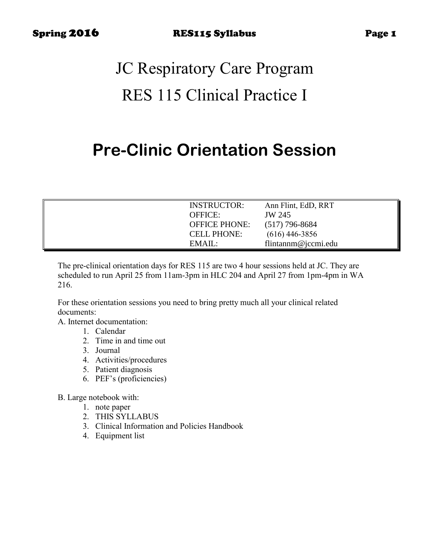# JC Respiratory Care Program RES 115 Clinical Practice I

# **Pre-Clinic Orientation Session**

| <b>INSTRUCTOR:</b>   | Ann Flint, EdD, RRT |
|----------------------|---------------------|
| <b>OFFICE:</b>       | JW 245              |
| <b>OFFICE PHONE:</b> | $(517)$ 796-8684    |
| <b>CELL PHONE:</b>   | $(616)$ 446-3856    |
| EMAIL:               | flintannm@jccmi.edu |

The pre-clinical orientation days for RES 115 are two 4 hour sessions held at JC. They are scheduled to run April 25 from 11am-3pm in HLC 204 and April 27 from 1pm-4pm in WA 216.

For these orientation sessions you need to bring pretty much all your clinical related documents:

A. Internet documentation:

- 1. Calendar
- 2. Time in and time out
- 3. Journal
- 4. Activities/procedures
- 5. Patient diagnosis
- 6. PEF's (proficiencies)

B. Large notebook with:

- 1. note paper
- 2. THIS SYLLABUS
- 3. Clinical Information and Policies Handbook
- 4. Equipment list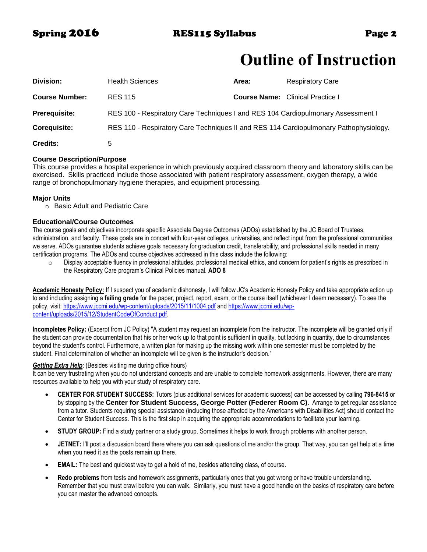# **Outline of Instruction**

| Division:             | <b>Health Sciences</b>                                                                | Area: | <b>Respiratory Care</b>                 |
|-----------------------|---------------------------------------------------------------------------------------|-------|-----------------------------------------|
| <b>Course Number:</b> | <b>RES 115</b>                                                                        |       | <b>Course Name:</b> Clinical Practice I |
| <b>Prerequisite:</b>  | RES 100 - Respiratory Care Techniques I and RES 104 Cardiopulmonary Assessment I      |       |                                         |
| <b>Corequisite:</b>   | RES 110 - Respiratory Care Techniques II and RES 114 Cardiopulmonary Pathophysiology. |       |                                         |
| <b>Credits:</b>       | 5                                                                                     |       |                                         |

### **Course Description/Purpose**

This course provides a hospital experience in which previously acquired classroom theory and laboratory skills can be exercised. Skills practiced include those associated with patient respiratory assessment, oxygen therapy, a wide range of bronchopulmonary hygiene therapies, and equipment processing.

### **Major Units**

o Basic Adult and Pediatric Care

### **Educational/Course Outcomes**

The course goals and objectives incorporate specific Associate Degree Outcomes (ADOs) established by the JC Board of Trustees, administration, and faculty. These goals are in concert with four-year colleges, universities, and reflect input from the professional communities we serve. ADOs guarantee students achieve goals necessary for graduation credit, transferability, and professional skills needed in many certification programs. The ADOs and course objectives addressed in this class include the following:

 $\circ$  Display acceptable fluency in professional attitudes, professional medical ethics, and concern for patient's rights as prescribed in the Respiratory Care program's Clinical Policies manual. **ADO 8**

**Academic Honesty Policy:** If I suspect you of academic dishonesty, I will follow JC's Academic Honesty Policy and take appropriate action up to and including assigning a **failing grade** for the paper, project, report, exam, or the course itself (whichever I deem necessary). To see the policy, visit:<https://www.jccmi.edu/wp-content/uploads/2015/11/1004.pdf> an[d https://www.jccmi.edu/wp](https://www.jccmi.edu/wp-content/uploads/2015/12/StudentCodeOfConduct.pdf)[content/uploads/2015/12/StudentCodeOfConduct.pdf.](https://www.jccmi.edu/wp-content/uploads/2015/12/StudentCodeOfConduct.pdf) 

**Incompletes Policy:** (Excerpt from JC Policy) "A student may request an incomplete from the instructor. The incomplete will be granted only if the student can provide documentation that his or her work up to that point is sufficient in quality, but lacking in quantity, due to circumstances beyond the student's control. Furthermore, a written plan for making up the missing work within one semester must be completed by the student. Final determination of whether an incomplete will be given is the instructor's decision."

#### *Getting Extra Help:* (Besides visiting me during office hours)

It can be very frustrating when you do not understand concepts and are unable to complete homework assignments. However, there are many resources available to help you with your study of respiratory care.

- **CENTER FOR STUDENT SUCCESS:** Tutors (plus additional services for academic success) can be accessed by calling **796-8415** or by stopping by the **Center for Student Success, George Potter (Federer Room C)**. Arrange to get regular assistance from a tutor. Students requiring special assistance (including those affected by the Americans with Disabilities Act) should contact the Center for Student Success. This is the first step in acquiring the appropriate accommodations to facilitate your learning.
- **STUDY GROUP:** Find a study partner or a study group. Sometimes it helps to work through problems with another person.
- **JETNET:** I'll post a discussion board there where you can ask questions of me and/or the group. That way, you can get help at a time when you need it as the posts remain up there.
- **EMAIL:** The best and quickest way to get a hold of me, besides attending class, of course.
- **Redo problems** from tests and homework assignments, particularly ones that you got wrong or have trouble understanding. Remember that you must crawl before you can walk. Similarly, you must have a good handle on the basics of respiratory care before you can master the advanced concepts.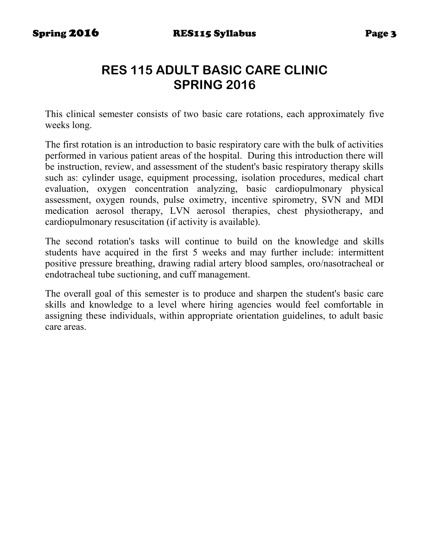# **RES 115 ADULT BASIC CARE CLINIC SPRING 2016**

This clinical semester consists of two basic care rotations, each approximately five weeks long.

The first rotation is an introduction to basic respiratory care with the bulk of activities performed in various patient areas of the hospital. During this introduction there will be instruction, review, and assessment of the student's basic respiratory therapy skills such as: cylinder usage, equipment processing, isolation procedures, medical chart evaluation, oxygen concentration analyzing, basic cardiopulmonary physical assessment, oxygen rounds, pulse oximetry, incentive spirometry, SVN and MDI medication aerosol therapy, LVN aerosol therapies, chest physiotherapy, and cardiopulmonary resuscitation (if activity is available).

The second rotation's tasks will continue to build on the knowledge and skills students have acquired in the first 5 weeks and may further include: intermittent positive pressure breathing, drawing radial artery blood samples, oro/nasotracheal or endotracheal tube suctioning, and cuff management.

The overall goal of this semester is to produce and sharpen the student's basic care skills and knowledge to a level where hiring agencies would feel comfortable in assigning these individuals, within appropriate orientation guidelines, to adult basic care areas.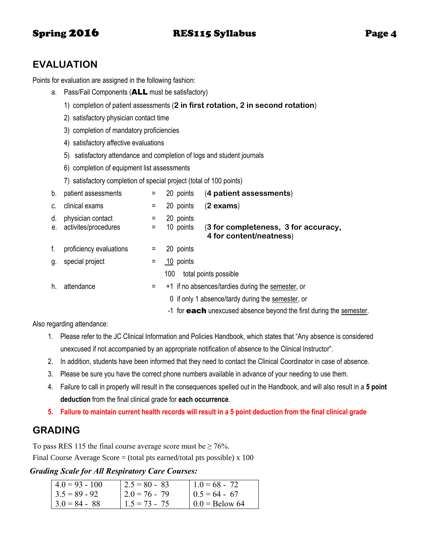# Spring 2016 RES115 Syllabus Page 4

# **EVALUATION**

Points for evaluation are assigned in the following fashion:

- a. Pass/Fail Components (ALL must be satisfactory)
	- 1) completion of patient assessments (**2 in first rotation, 2 in second rotation**)
	- 2) satisfactory physician contact time
	- 3) completion of mandatory proficiencies
	- 4) satisfactory affective evaluations
	- 5) satisfactory attendance and completion of logs and student journals
	- 6) completion of equipment list assessments
	- 7) satisfactory completion of special project (total of 100 points)

| b. | patient assessments                          |   | 20 points              | (4 patient assessments)                                             |
|----|----------------------------------------------|---|------------------------|---------------------------------------------------------------------|
|    | c. clinical exams                            | = | 20 points              | $(2 \text{ exams})$                                                 |
| d. | physician contact<br>e. activites/procedures |   | 20 points<br>10 points | (3 for completeness, 3 for accuracy,<br>4 for content/neatness)     |
| f. | proficiency evaluations                      |   | 20 points              |                                                                     |
| g. | special project                              |   | 10 points              |                                                                     |
|    |                                              |   | 100                    | total points possible                                               |
| h. | attendance                                   | Ξ |                        | +1 if no absences/tardies during the semester, or                   |
|    |                                              |   |                        | 0 if only 1 absence/tardy during the semester, or                   |
|    |                                              |   |                        | -1 for each unexcused absence beyond the first during the semester. |

Also regarding attendance:

- 1. Please refer to the JC Clinical Information and Policies Handbook, which states that "Any absence is considered unexcused if not accompanied by an appropriate notification of absence to the Clinical Instructor".
- 2. In addition, students have been informed that they need to contact the Clinical Coordinator in case of absence.
- 3. Please be sure you have the correct phone numbers available in advance of your needing to use them.
- 4. Failure to call in properly will result in the consequences spelled out in the Handbook, and will also result in a **5 point deduction** from the final clinical grade for **each occurrence**.
- **5. Failure to maintain current health records will result in a 5 point deduction from the final clinical grade**

# **GRADING**

To pass RES 115 the final course average score must be  $\geq 76\%$ .

Final Course Average Score  $=$  (total pts earned/total pts possible) x 100

### *Grading Scale for All Respiratory Care Courses:*

| $4.0 = 93 - 100$ | $2.5 = 80 - 83$  | $1.0 = 68 - 72$  |
|------------------|------------------|------------------|
| $3.5 = 89 - 92$  | $12.0 = 76 - 79$ | $0.5 = 64 - 67$  |
| $3.0 = 84 - 88$  | $1.5 = 73 - 75$  | $0.0 =$ Below 64 |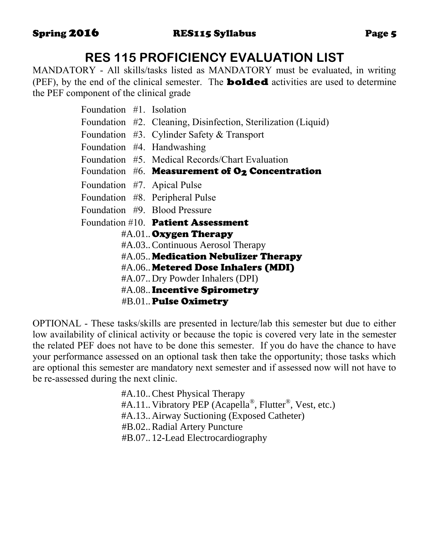# **RES 115 PROFICIENCY EVALUATION LIST**

MANDATORY - All skills/tasks listed as MANDATORY must be evaluated, in writing (PEF), by the end of the clinical semester. The **bolded** activities are used to determine the PEF component of the clinical grade

| Foundation #1. Isolation |                                                               |
|--------------------------|---------------------------------------------------------------|
|                          | Foundation #2. Cleaning, Disinfection, Sterilization (Liquid) |
|                          | Foundation $#3$ . Cylinder Safety & Transport                 |
|                          | Foundation #4. Handwashing                                    |
|                          | Foundation #5. Medical Records/Chart Evaluation               |
|                          | Foundation $#6$ . Measurement of $O_2$ Concentration          |
|                          | Foundation #7. Apical Pulse                                   |
|                          | Foundation #8. Peripheral Pulse                               |
|                          | Foundation #9. Blood Pressure                                 |
|                          | Foundation #10. Patient Assessment                            |
|                          | #A.01 Oxygen Therapy                                          |
|                          | #A.03. Continuous Aerosol Therapy                             |
|                          | #A.05 Medication Nebulizer Therapy                            |
|                          | #A.06 Metered Dose Inhalers (MDI)                             |
|                          | #A.07 Dry Powder Inhalers (DPI)                               |
|                          | #A.08 Incentive Spirometry                                    |

#B.01..Pulse Oximetry

OPTIONAL - These tasks/skills are presented in lecture/lab this semester but due to either low availability of clinical activity or because the topic is covered very late in the semester the related PEF does not have to be done this semester. If you do have the chance to have your performance assessed on an optional task then take the opportunity; those tasks which are optional this semester are mandatory next semester and if assessed now will not have to be re-assessed during the next clinic.

> #A.10..Chest Physical Therapy #A.11. Vibratory PEP (Acapella®, Flutter®, Vest, etc.) #A.13..Airway Suctioning (Exposed Catheter) #B.02..Radial Artery Puncture #B.07.. 12-Lead Electrocardiography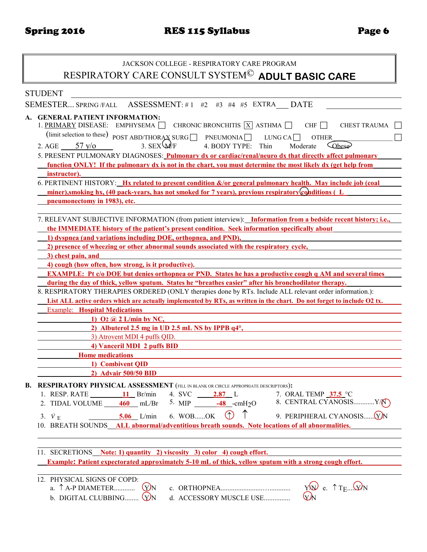# JACKSON COLLEGE - RESPIRATORY CARE PROGRAM RESPIRATORY CARE CONSULT SYSTEM© **ADULT BASIC CARE**

| <b>STUDENT</b>                                                                                                                                                                                                                                                                                                                                                                                                                                                                                                                                                                                                                                                                                                                                                                                                                                                                                  |
|-------------------------------------------------------------------------------------------------------------------------------------------------------------------------------------------------------------------------------------------------------------------------------------------------------------------------------------------------------------------------------------------------------------------------------------------------------------------------------------------------------------------------------------------------------------------------------------------------------------------------------------------------------------------------------------------------------------------------------------------------------------------------------------------------------------------------------------------------------------------------------------------------|
| SEMESTER SPRING/FALL<br>ASSESSMENT: #1 #2 #3 #4 #5 EXTRA DATE                                                                                                                                                                                                                                                                                                                                                                                                                                                                                                                                                                                                                                                                                                                                                                                                                                   |
| A. GENERAL PATIENT INFORMATION:<br>1. PRIMARY DISEASE: EMPHYSEMA $\Box$ CHRONIC BRONCHITIS $\boxed{X}$ ASTHMA $\Box$<br>CHF $\Box$<br><b>CHEST TRAUMA</b><br>(limit selection to these) POST ABD/THORAX SURG PNEUMONIA<br>LUNG CA $\Box$<br><b>OTHER</b><br>3. $SEX \Psi/F$<br>2. AGE $\frac{57 \text{ y/o}}{25 \text{ y/o}}$<br>4. BODY TYPE:<br>Cobese <sup>)</sup><br>Thin<br>Moderate<br>5. PRESENT PULMONARY DIAGNOSES: <b>Pulmonary dx or cardiac/renal/neuro dx that directly affect pulmonary</b><br>function ONLY! If the pulmonary dx is not in the chart, you must determine the most likely dx (get help from<br>instructor).<br>6. PERTINENT HISTORY: Hx related to present condition &/or general pulmonary health. May include job (coal<br>miner), smoking hx, (40 pack-years, has not smoked for 7 years), previous respiratory (conditions (L<br>pneumonectomy in 1983), etc. |
|                                                                                                                                                                                                                                                                                                                                                                                                                                                                                                                                                                                                                                                                                                                                                                                                                                                                                                 |
| 7. RELEVANT SUBJECTIVE INFORMATION (from patient interview): Information from a bedside recent history; i.e.,                                                                                                                                                                                                                                                                                                                                                                                                                                                                                                                                                                                                                                                                                                                                                                                   |
| the IMMEDIATE history of the patient's present condition. Seek information specifically about                                                                                                                                                                                                                                                                                                                                                                                                                                                                                                                                                                                                                                                                                                                                                                                                   |
| 1) dyspnea (and variations including DOE, orthopnea, and PND),                                                                                                                                                                                                                                                                                                                                                                                                                                                                                                                                                                                                                                                                                                                                                                                                                                  |
| 2) presence of wheezing or other abnormal sounds associated with the respiratory cycle,                                                                                                                                                                                                                                                                                                                                                                                                                                                                                                                                                                                                                                                                                                                                                                                                         |
| 3) chest pain, and                                                                                                                                                                                                                                                                                                                                                                                                                                                                                                                                                                                                                                                                                                                                                                                                                                                                              |
| 4) cough (how often, how strong, is it productive).<br><b>EXAMPLE:</b> Pt c/o DOE but denies orthopnea or PND. States he has a productive cough q AM and several times                                                                                                                                                                                                                                                                                                                                                                                                                                                                                                                                                                                                                                                                                                                          |
| during the day of thick, yellow sputum. States he "breathes easier" after his bronchodilator therapy.                                                                                                                                                                                                                                                                                                                                                                                                                                                                                                                                                                                                                                                                                                                                                                                           |
| 8. RESPIRATORY THERAPIES ORDERED (ONLY therapies done by RTs. Include ALL relevant order information.):                                                                                                                                                                                                                                                                                                                                                                                                                                                                                                                                                                                                                                                                                                                                                                                         |
| List ALL active orders which are actually implemented by RTs, as written in the chart. Do not forget to include O2 tx.                                                                                                                                                                                                                                                                                                                                                                                                                                                                                                                                                                                                                                                                                                                                                                          |
| <b>Example:</b> Hospital Medications                                                                                                                                                                                                                                                                                                                                                                                                                                                                                                                                                                                                                                                                                                                                                                                                                                                            |
| 1) $\mathbf{O2}$ ( <i>a</i> ) 2 L/min by NC,                                                                                                                                                                                                                                                                                                                                                                                                                                                                                                                                                                                                                                                                                                                                                                                                                                                    |
| 2) Albuterol 2.5 mg in UD 2.5 mL NS by IPPB q4°,                                                                                                                                                                                                                                                                                                                                                                                                                                                                                                                                                                                                                                                                                                                                                                                                                                                |
| 3) Atrovent MDI 4 puffs QID.                                                                                                                                                                                                                                                                                                                                                                                                                                                                                                                                                                                                                                                                                                                                                                                                                                                                    |
| 4) Vanceril MDI 2 puffs BID                                                                                                                                                                                                                                                                                                                                                                                                                                                                                                                                                                                                                                                                                                                                                                                                                                                                     |
| <b>Home</b> medications                                                                                                                                                                                                                                                                                                                                                                                                                                                                                                                                                                                                                                                                                                                                                                                                                                                                         |
| 1) Combivent QID                                                                                                                                                                                                                                                                                                                                                                                                                                                                                                                                                                                                                                                                                                                                                                                                                                                                                |
| 2) Advair 500/50 BID                                                                                                                                                                                                                                                                                                                                                                                                                                                                                                                                                                                                                                                                                                                                                                                                                                                                            |
| <b>B. RESPIRATORY PHYSICAL ASSESSMENT</b> (FILL IN BLANK OR CIRCLE APPROPRIATE DESCRIPTORS):<br>1. RESP. RATE $\qquad \qquad$ 11 Br/min<br>7. ORAL TEMP 37.5 °C<br>4. SVC 2.87 L<br>2. TIDAL VOLUME $\underline{\hspace{1cm}} 460$ mL/Br $\hspace{1cm}$ 5. MIP $\underline{\hspace{1cm}} -48$ -cmH <sub>2</sub> O $\hspace{1cm}$ 8. CENTRAL CYANOSISY/(V)<br>$\circledcirc$ 1<br>9. PERIPHERAL CYANOSIS(Y)N<br>$5.06$ L/min 6. WOBOK<br>3. $\dot{V}$ E<br>10. BREATH SOUNDS ALL abnormal/adventitious breath sounds. Note locations of all abnormalities.                                                                                                                                                                                                                                                                                                                                       |
| 11. SECRETIONS Note: 1) quantity 2) viscosity 3) color 4) cough effort.<br><b>Example: Patient expectorated approximately 5-10 mL of thick, yellow sputum with a strong cough effort.</b><br>12. PHYSICAL SIGNS OF COPD:<br>$Y^{(n)}$ e. $\uparrow T_{E}$ $\downarrow$ $Y^{(n)}$<br>$(y)$ <sub>N</sub><br>a. $\uparrow$ A-P DIAMETER<br>WN                                                                                                                                                                                                                                                                                                                                                                                                                                                                                                                                                      |
| b. DIGITAL CLUBBING $(y)$<br>d. ACCESSORY MUSCLE USE                                                                                                                                                                                                                                                                                                                                                                                                                                                                                                                                                                                                                                                                                                                                                                                                                                            |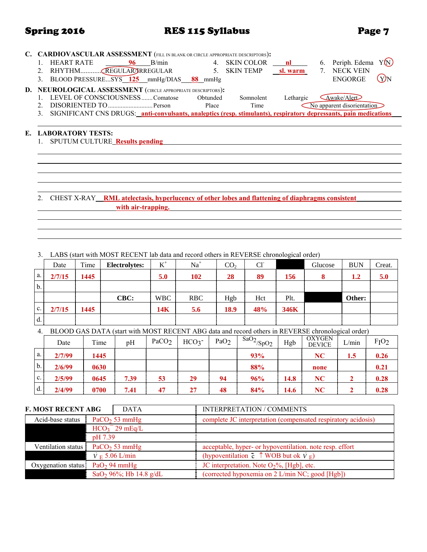## Spring 2016 **RES 115 Syllabus** Page 7

|  | C. CARDIOVASCULAR ASSESSMENT (FILL IN BLANK OR CIRCLE APPROPRIATE DESCRIPTORS):                                   |    |       |          |               |           |                                                      |      |
|--|-------------------------------------------------------------------------------------------------------------------|----|-------|----------|---------------|-----------|------------------------------------------------------|------|
|  | <b>HEART RATE</b>                                                                                                 | 96 | B/min |          | 4. SKIN COLOR | nl        | Periph. Edema<br>6.                                  | Y(N) |
|  | RHYTHMCREGULARDRREGULAR                                                                                           |    |       |          | 5. SKIN TEMP  | sl. warm  | <b>NECK VEIN</b><br>$7_{\scriptscriptstyle{\ddots}}$ |      |
|  | BLOOD PRESSURESYS 125 mmHg/DIAS 88 mmHg                                                                           |    |       |          |               |           | <b>ENGORGE</b>                                       | .YJN |
|  | D. NEUROLOGICAL ASSESSMENT (CIRCLE APPROPRIATE DESCRIPTORS):                                                      |    |       |          |               |           |                                                      |      |
|  | LEVEL OF CONSCIOUSNESSComatose                                                                                    |    |       | Obtunded | Somnolent     | Lethargic | Awake/Alert                                          |      |
|  |                                                                                                                   |    |       | Place    | Time          |           | No apparent disorientation                           |      |
|  | SIGNIFICANT CNS DRUGS: anti-convulsants, analeptics (resp. stimulants), respiratory depressants, pain medications |    |       |          |               |           |                                                      |      |
|  |                                                                                                                   |    |       |          |               |           |                                                      |      |
|  | E. LABORATORY TESTS:                                                                                              |    |       |          |               |           |                                                      |      |
|  | <b>SPUTUM CULTURE Results pending</b>                                                                             |    |       |          |               |           |                                                      |      |
|  |                                                                                                                   |    |       |          |               |           |                                                      |      |
|  |                                                                                                                   |    |       |          |               |           |                                                      |      |
|  |                                                                                                                   |    |       |          |               |           |                                                      |      |
|  |                                                                                                                   |    |       |          |               |           |                                                      |      |

### 2. CHEST X-RAY **RML atelectasis, hyperlucency of other lobes and flattening of diaphragms consistent with air-trapping.**

3. LABS (start with MOST RECENT lab data and record others in REVERSE chronological order)

|               | Date   | Time | Electrolytes: | $K^+$      | $Na+$      | CO <sub>2</sub> | $Cl-$ |      | Glucose | <b>BUN</b> | Creat. |
|---------------|--------|------|---------------|------------|------------|-----------------|-------|------|---------|------------|--------|
| a.            | 2/7/15 | 1445 |               | 5.0        | 102        | 28              | 89    | 156  |         | 1.2        | 5.0    |
| $\mathbf b$ . |        |      |               |            |            |                 |       |      |         |            |        |
|               |        |      | CBC:          | <b>WBC</b> | <b>RBC</b> | Hgb             | Hct   | Plt. |         | Other:     |        |
| $c_{\cdot}$   | 2/7/15 | 1445 |               | 14K        | 5.6        | 18.9            | 48%   | 346K |         |            |        |
| d.            |        |      |               |            |            |                 |       |      |         |            |        |

4. BLOOD GAS DATA (start with MOST RECENT ABG data and record others in REVERSE chronological order)

|                | Date   | Time | pH   | PaCO <sub>2</sub> | HCO <sub>3</sub> | PaO <sub>2</sub> | $\frac{1}{5}$ SaO <sub>2</sub> /SpO <sub>2</sub> | Hgb  | <b>OXYGEN</b><br><b>DEVICE</b> | L/min | FIO <sub>2</sub> |
|----------------|--------|------|------|-------------------|------------------|------------------|--------------------------------------------------|------|--------------------------------|-------|------------------|
| a.             | 2/7/99 | 1445 |      |                   |                  |                  | 93%                                              |      | NC                             | 1.5   | 0.26             |
| $\mathbf{b}$ . | 2/6/99 | 0630 |      |                   |                  |                  | 88%                                              |      | none                           |       | 0.21             |
| $c_{\cdot}$    | 2/5/99 | 0645 | 7.39 | 53                | 29               | 94               | 96%                                              | 14.8 | NC                             |       | 0.28             |
| d.             | 2/4/99 | 0700 | 7.41 | 47                | 27               | 48               | 84%                                              | 14.6 | NC                             |       | 0.28             |

| <b>F. MOST RECENT ABG</b> |         | <b>DATA</b>                        | <b>INTERPRETATION / COMMENTS</b>                              |
|---------------------------|---------|------------------------------------|---------------------------------------------------------------|
| Acid-base status          |         | PaCO <sub>2</sub> 53 mmHg          | complete JC interpretation (compensated respiratory acidosis) |
|                           |         | $HCO3- 29 mEq/L$                   |                                                               |
|                           | pH 7.39 |                                    |                                                               |
| Ventilation status        |         | PaCO <sub>2</sub> 53 mmHg          | acceptable, hyper- or hypoventilation. note resp. effort      |
|                           |         | $V_E$ 5.06 L/min                   | (hypoventilation c $\uparrow$ WOB but ok $V_F$ )              |
| Oxygenation status        |         | PaO <sub>2</sub> 94 mmHg           | JC interpretation. Note $O_2\%$ , [Hgb], etc.                 |
|                           |         | SaO <sub>2</sub> 96%; Hb 14.8 g/dL | (corrected hypoxemia on 2 L/min NC; good [Hgb])               |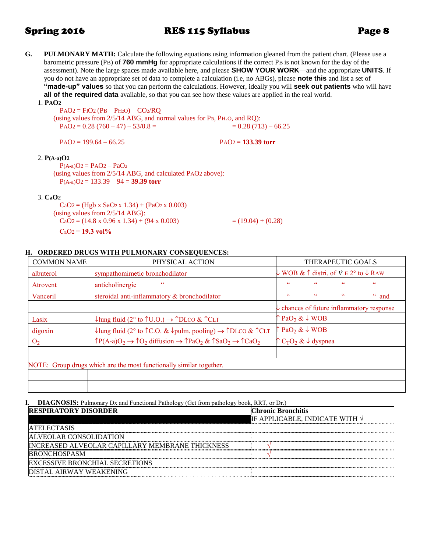### Spring 2016 RES 115 Syllabus Page 8

**G. PULMONARY MATH:** Calculate the following equations using information gleaned from the patient chart. (Please use a barometric pressure (PB) of **760 mmHg** for appropriate calculations if the correct PB is not known for the day of the assessment). Note the large spaces made available here, and please **SHOW YOUR WORK**—and the appropriate **UNITS**. If you do not have an appropriate set of data to complete a calculation (i.e, no ABGs), please **note this** and list a set of **"made-up" values** so that you can perform the calculations. However, ideally you will **seek out patients** who will have **all of the required data** available, so that you can see how these values are applied in the real world.

1. **PAO2** 

 $PAO2 = FIO2 (PB - PH2O) - CO2/RO$ (using values from 2/5/14 ABG, and normal values for PB, PH2O, and RQ):  $PAO2 = 0.28 (760 - 47) - 53/0.8 =$  = 0.28 (713) – 66.25

 $PAO2 = 199.64 - 66.25$  PAO2 = 133.39 torr

### 2. **P(A-a)O2**

 $P(A-a)O2 = PAO2 - PaO2$ (using values from 2/5/14 ABG, and calculated PAO2 above): P(A-a)O2 = 133.39 – 94 = **39.39 torr** 

### 3. **CaO2**

 $CaO2 = (Hgb \times SaO2 \times 1.34) + (PaO2 \times 0.003)$ (using values from 2/5/14 ABG):  $CaO2 = (14.8 \times 0.96 \times 1.34) + (94 \times 0.003)$  = (19.04) + (0.28)  $CaO<sub>2</sub> = 19.3$  vol<sup>o</sup>/<sub>0</sub>

### **H. ORDERED DRUGS WITH PULMONARY CONSEQUENCES:**

| <b>COMMON NAME</b> | PHYSICAL ACTION                                                                                                                   | THERAPEUTIC GOALS                                               |               |                                                                          |               |  |  |
|--------------------|-----------------------------------------------------------------------------------------------------------------------------------|-----------------------------------------------------------------|---------------|--------------------------------------------------------------------------|---------------|--|--|
| albuterol          | sympathomimetic bronchodilator                                                                                                    |                                                                 |               | $\downarrow$ WOB & $\uparrow$ distri. of $\vee$ E 2° to $\downarrow$ RAW |               |  |  |
| Atrovent           | $\mathsf{cc}$<br>anticholinergic                                                                                                  | $\epsilon$                                                      | $\mathsf{cc}$ | $\overline{\mathbf{c}}$                                                  | cc            |  |  |
| Vanceril           | steroidal anti-inflammatory & bronchodilator                                                                                      | $\epsilon$                                                      | cc            | $\mathsf{cc}$                                                            | $\degree$ and |  |  |
|                    |                                                                                                                                   | $\downarrow$ chances of future inflammatory response            |               |                                                                          |               |  |  |
| Lasix              | ↓ lung fluid (2° to $\uparrow$ U.O.) $\rightarrow \uparrow$ DLCO & $\uparrow$ CLT                                                 | $\uparrow$ PaO <sub>2</sub> & $\downarrow$ WOB                  |               |                                                                          |               |  |  |
| digoxin            | ↓lung fluid (2° to ↑C.O. & ↓pulm. pooling) $\rightarrow$ ↑DLCO & ↑CLT                                                             | $\uparrow$ PaO <sub>2</sub> & $\downarrow$ WOB                  |               |                                                                          |               |  |  |
| O <sub>2</sub>     | $\uparrow P(A-a)O_2 \rightarrow \uparrow O_2$ diffusion $\rightarrow \uparrow PaO_2 \& \uparrow SaO_2 \rightarrow \uparrow CaO_2$ | $\uparrow$ C <sub>T</sub> O <sub>2</sub> & $\downarrow$ dyspnea |               |                                                                          |               |  |  |
|                    |                                                                                                                                   |                                                                 |               |                                                                          |               |  |  |
|                    | NOTE: Group drugs which are the most functionally similar together.                                                               |                                                                 |               |                                                                          |               |  |  |
|                    |                                                                                                                                   |                                                                 |               |                                                                          |               |  |  |
|                    |                                                                                                                                   |                                                                 |               |                                                                          |               |  |  |

**I. DIAGNOSIS:** Pulmonary Dx and Functional Pathology (Get from pathology book, RRT, or Dr.)

| <b>RESPIRATORY DISORDER</b>                            | <b>Chronic Bronchitis</b>              |
|--------------------------------------------------------|----------------------------------------|
|                                                        | IF APPLICABLE, INDICATE WITH $\sqrt{}$ |
| <b>ATELECTASIS</b>                                     |                                        |
| <b>ALVEOLAR CONSOLIDATION</b>                          |                                        |
| <b>INCREASED ALVEOLAR CAPILLARY MEMBRANE THICKNESS</b> |                                        |
| <b>IBRONCHOSPASM</b>                                   |                                        |
| EXCESSIVE BRONCHIAL SECRETIONS                         |                                        |
| DISTAL AIRWAY WEAKENING                                |                                        |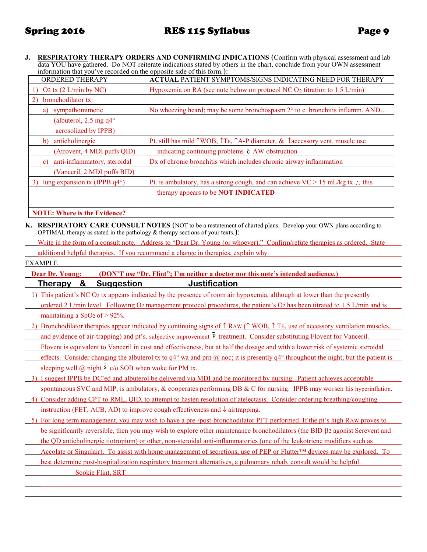**J. RESPIRATORY THERAPY ORDERS AND CONFIRMING INDICATIONS** (Confirm with physical assessment and lab data YOU have gathered. Do NOT reiterate indications stated by others in the chart, conclude from your OWN assessment information that you've recorded on the opposite side of this form.):

| <b>ORDERED THERAPY</b>                                   | <b>ACTUAL PATIENT SYMPTOMS/SIGNS INDICATING NEED FOR THERAPY</b>                      |
|----------------------------------------------------------|---------------------------------------------------------------------------------------|
| O <sub>2</sub> tx $(2 L/min$ by NC)<br>1)                | Hypoxemia on RA (see note below on protocol NC $O_2$ titration to 1.5 L/min)          |
| bronchodilator tx:<br>2)                                 |                                                                                       |
| sympathomimetic<br>a)                                    | No wheezing heard; may be some bronchospasm $2^{\circ}$ to c. bronchitis inflamm. AND |
| (albuterol, 2.5 mg $q4^{\circ}$                          |                                                                                       |
| aerosolized by IPPB)                                     |                                                                                       |
| anticholinergic<br>b)                                    | Pt. still has mild TWOB, TE, TA-P diameter, & Taccessory vent. muscle use             |
| (Atrovent, 4 MDI puffs QID)                              | indicating continuing problems c AW obstruction                                       |
| anti-inflammatory, steroidal<br>$\mathbf{c}$             | Dx of chronic bronchitis which includes chronic airway inflammation                   |
| (Vanceril, 2 MDI puffs BID)                              |                                                                                       |
| lung expansion tx (IPPB $q4^{\circ}$ )<br>3 <sup>)</sup> | Pt. is ambulatory, has a strong cough, and can achieve $VC > 15$ mL/kg tx : this      |
|                                                          | therapy appears to be <b>NOT INDICATED</b>                                            |
|                                                          |                                                                                       |
| <b>NOTE: Where is the Evidence?</b>                      |                                                                                       |

**K. RESPIRATORY CARE CONSULT NOTES** (NOT to be a restatement of charted plans. Develop your OWN plans according to OPTIMAL therapy as stated in the pathology & therapy sections of your texts.):

Write in the form of a consult note. Address to "Dear Dr. Young (or whoever)." Confirm/refute therapies as ordered. State

additional helpful therapies. If you recommend a change in therapies, explain why.

EXAMPLE

| (DON'T use "Dr. Flint"; I'm neither a doctor nor this note's intended audience.)<br><b>Dear Dr. Young:</b>                                             |
|--------------------------------------------------------------------------------------------------------------------------------------------------------|
| &<br><b>Suggestion</b><br>Justification<br><u>Therapy</u>                                                                                              |
| This patient's NC O <sub>2</sub> tx appears indicated by the presence of room air hypoxemia, although at lower than the presently                      |
| ordered 2 L/min level. Following O2 management protocol procedures, the patient's O2 has been titrated to 1.5 L/min and is                             |
| maintaining a SpO <sub>2</sub> of $> 92\%$ .                                                                                                           |
| Bronchodilator therapies appear indicated by continuing signs of $\uparrow$ RAW ( $\uparrow$ WOB, $\uparrow$ TE, use of accessory ventilation muscles, |
| and evidence of air-trapping) and pt's. subjective improvement P treatment. Consider substituting Flovent for Vanceril.                                |
| Flovent is equivalent to Vanceril in cost and effectiveness, but at half the dosage and with a lower risk of systemic steroidal                        |
| effects. Consider changing the albuterol tx to $q^{2}$ wa and prn @ noc; it is presently $q^{2}$ throughout the night; but the patient is              |
| sleeping well $(a)$ night $s$ c/o SOB when woke for PM tx.                                                                                             |
| 3) I suggest IPPB be DC'ed and albuterol be delivered via MDI and be monitored by nursing. Patient achieves acceptable                                 |
| spontaneous SVC and MIP, is ambulatory, $\&$ cooperates performing DB $\&$ C for nursing. IPPB may worsen his hyperinflation.                          |
| Consider adding CPT to RML, QID, to attempt to hasten resolution of atelectasis. Consider ordering breathing/coughing<br>4)                            |
| instruction (FET, ACB, AD) to improve cough effectiveness and $\downarrow$ airtrapping.                                                                |
| 5) For long term management, you may wish to have a pre-/post-bronchodilator PFT performed. If the pt's high RAW proves to                             |
| <u>be significantly reversible, then you may wish to explore other maintenance bronchodilators (the BID <math>\beta</math>2 agonist Serevent and</u>   |
| the QD anticholinergic tiotropium) or other, non-steroidal anti-inflammatories (one of the leukotriene modifiers such as                               |
| Accolate or Singulair). To assist with home management of secretions, use of PEP or Flutter <sup>TM</sup> devices may be explored. To                  |
| best determine post-hospitalization respiratory treatment alternatives, a pulmonary rehab, consult would be helpful.                                   |
| Sookie Flint, SRT                                                                                                                                      |
|                                                                                                                                                        |
|                                                                                                                                                        |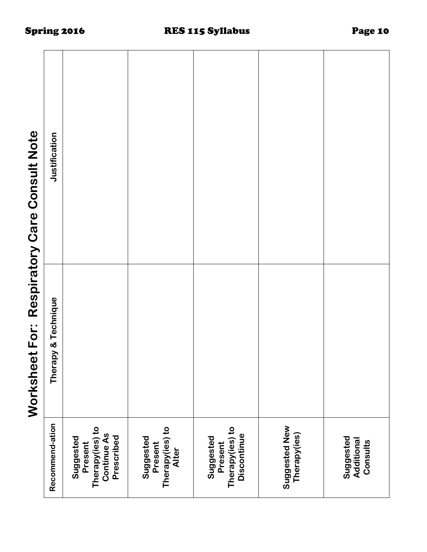| Respiratory Care Consult Note                  |
|------------------------------------------------|
| ミクユー<br>こじりニ<br>ksupa<br><b>SAIC</b><br>S<br>S |
| l                                              |

|                                                                             | Worksheet For:      | Respiratory Care Consult Note |
|-----------------------------------------------------------------------------|---------------------|-------------------------------|
| Recommend-ation                                                             | Therapy & Technique | Justification                 |
| Therapy(ies) to<br><b>Continue As</b><br>Prescribed<br>Suggested<br>Present |                     |                               |
| Therapy(ies) to<br>Suggested<br>Present<br>Alter                            |                     |                               |
| Therapy(ies) to<br>Discontinue<br>Suggested<br>Present                      |                     |                               |
| Suggested New<br>Therapy(ies)                                               |                     |                               |
| Suggested<br>Additional<br>Consults                                         |                     |                               |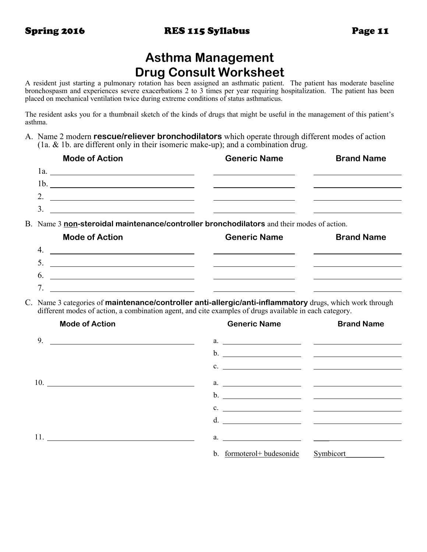# **Asthma Management Drug Consult Worksheet**

A resident just starting a pulmonary rotation has been assigned an asthmatic patient. The patient has moderate baseline bronchospasm and experiences severe exacerbations 2 to 3 times per year requiring hospitalization. The patient has been placed on mechanical ventilation twice during extreme conditions of status asthmaticus.

The resident asks you for a thumbnail sketch of the kinds of drugs that might be useful in the management of this patient's asthma.

A. Name 2 modern **rescue/reliever bronchodilators** which operate through different modes of action (1a. & 1b. are different only in their isomeric make-up); and a combination drug.

| <b>Mode of Action</b>                               | <b>Generic Name</b> | <b>Brand Name</b> |
|-----------------------------------------------------|---------------------|-------------------|
| 1a<br><u> 1989 - Andrea Andrew Maria (h. 1989).</u> |                     |                   |
| 1 <sup>b</sup>                                      |                     |                   |
|                                                     |                     |                   |
|                                                     |                     |                   |
|                                                     |                     |                   |

B. Name 3 **non-steroidal maintenance/controller bronchodilators** and their modes of action.

| <b>Mode of Action</b> | <b>Generic Name</b> | <b>Brand Name</b> |
|-----------------------|---------------------|-------------------|
| $\mathbf{4}$          |                     |                   |
| $\mathcal{L}$         |                     |                   |
| $\mathfrak b$         |                     |                   |
| −                     |                     |                   |

C. Name 3 categories of **maintenance/controller anti-allergic/anti-inflammatory** drugs, which work through different modes of action, a combination agent, and cite examples of drugs available in each category.

| <b>Mode of Action</b>                                           | <b>Generic Name</b>      | <b>Brand Name</b>             |
|-----------------------------------------------------------------|--------------------------|-------------------------------|
| 9.<br><u> 1989 - Johann Barnett, fransk politiker (d. 1989)</u> |                          | a. $\qquad \qquad$            |
|                                                                 |                          |                               |
|                                                                 |                          | $c.$ $\overline{\phantom{a}}$ |
|                                                                 |                          | $a.$ $\qquad \qquad$          |
|                                                                 |                          |                               |
|                                                                 | $c.$ $\qquad \qquad$     |                               |
|                                                                 |                          | d. $\overline{\phantom{a}}$   |
|                                                                 |                          |                               |
|                                                                 | b. formoterol+budesonide | Symbicort                     |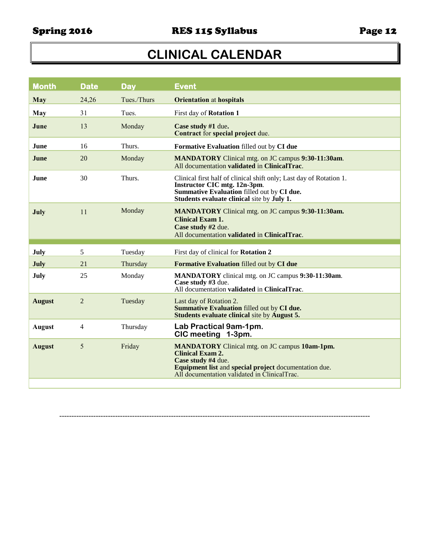# **CLINICAL CALENDAR**

| <b>Month</b>  | <b>Date</b>    | <b>Day</b>  | <b>Event</b>                                                                                                                                                                                                    |
|---------------|----------------|-------------|-----------------------------------------------------------------------------------------------------------------------------------------------------------------------------------------------------------------|
| <b>May</b>    | 24,26          | Tues./Thurs | <b>Orientation</b> at hospitals                                                                                                                                                                                 |
| May           | 31             | Tues.       | First day of Rotation 1                                                                                                                                                                                         |
| June          | 13             | Monday      | Case study #1 due.<br>Contract for special project due.                                                                                                                                                         |
| <b>June</b>   | 16             | Thurs.      | Formative Evaluation filled out by CI due                                                                                                                                                                       |
| June          | 20             | Monday      | <b>MANDATORY</b> Clinical mtg. on JC campus 9:30-11:30am.<br>All documentation validated in ClinicalTrac.                                                                                                       |
| June          | 30             | Thurs.      | Clinical first half of clinical shift only; Last day of Rotation 1.<br>Instructor CIC mtg. 12n-3pm.<br>Summative Evaluation filled out by CI due.<br>Students evaluate clinical site by July 1.                 |
| July          | 11             | Monday      | <b>MANDATORY</b> Clinical mtg. on JC campus 9:30-11:30am.<br><b>Clinical Exam 1.</b><br>Case study #2 due.<br>All documentation validated in ClinicalTrac.                                                      |
| July          | 5              | Tuesday     | First day of clinical for Rotation 2                                                                                                                                                                            |
| July          | 21             | Thursday    | Formative Evaluation filled out by CI due                                                                                                                                                                       |
| July          | 25             | Monday      | MANDATORY clinical mtg. on JC campus 9:30-11:30am.<br>Case study #3 due.<br>All documentation validated in ClinicalTrac.                                                                                        |
| <b>August</b> | $\overline{2}$ | Tuesday     | Last day of Rotation 2.<br>Summative Evaluation filled out by CI due.<br><b>Students evaluate clinical site by August 5.</b>                                                                                    |
| <b>August</b> | $\overline{4}$ | Thursday    | Lab Practical 9am-1pm.<br>CIC meeting 1-3pm.                                                                                                                                                                    |
| <b>August</b> | 5              | Friday      | <b>MANDATORY</b> Clinical mtg. on JC campus 10am-1pm.<br><b>Clinical Exam 2.</b><br>Case study #4 due.<br>Equipment list and special project documentation due.<br>All documentation validated in ClinicalTrac. |
|               |                |             |                                                                                                                                                                                                                 |

--------------------------------------------------------------------------------------------------------------------------------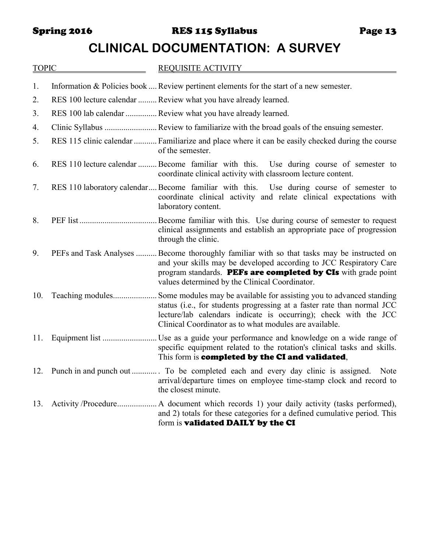Spring 2016 **RES 115 Syllabus** Page 13

# **CLINICAL DOCUMENTATION: A SURVEY**

| <b>TOPIC</b> | <b>REQUISITE ACTIVITY</b>                                                                                                                                                                                                                                                           |
|--------------|-------------------------------------------------------------------------------------------------------------------------------------------------------------------------------------------------------------------------------------------------------------------------------------|
| 1.           | Information & Policies book  Review pertinent elements for the start of a new semester.                                                                                                                                                                                             |
| 2.           | RES 100 lecture calendar  Review what you have already learned.                                                                                                                                                                                                                     |
| 3.           | RES 100 lab calendar  Review what you have already learned.                                                                                                                                                                                                                         |
| 4.           |                                                                                                                                                                                                                                                                                     |
| 5.           | RES 115 clinic calendar  Familiarize and place where it can be easily checked during the course<br>of the semester.                                                                                                                                                                 |
| 6.           | RES 110 lecture calendar  Become familiar with this. Use during course of semester to<br>coordinate clinical activity with classroom lecture content.                                                                                                                               |
| 7.           | RES 110 laboratory calendar Become familiar with this. Use during course of semester to<br>coordinate clinical activity and relate clinical expectations with<br>laboratory content.                                                                                                |
| 8.           | . Become familiar with this. Use during course of semester to request<br>clinical assignments and establish an appropriate pace of progression<br>through the clinic.                                                                                                               |
| 9.           | PEFs and Task Analyses  Become thoroughly familiar with so that tasks may be instructed on<br>and your skills may be developed according to JCC Respiratory Care<br>program standards. PEFs are completed by CIs with grade point<br>values determined by the Clinical Coordinator. |
| 10.          | Some modules may be available for assisting you to advanced standing<br>status (i.e., for students progressing at a faster rate than normal JCC<br>lecture/lab calendars indicate is occurring); check with the JCC<br>Clinical Coordinator as to what modules are available.       |
| 11.          | specific equipment related to the rotation's clinical tasks and skills.<br>This form is completed by the CI and validated,                                                                                                                                                          |
|              | 12. Punch in and punch out  To be completed each and every day clinic is assigned.<br>Note<br>arrival/departure times on employee time-stamp clock and record to<br>the closest minute.                                                                                             |
| 13.          | and 2) totals for these categories for a defined cumulative period. This<br>form is validated DAILY by the CI                                                                                                                                                                       |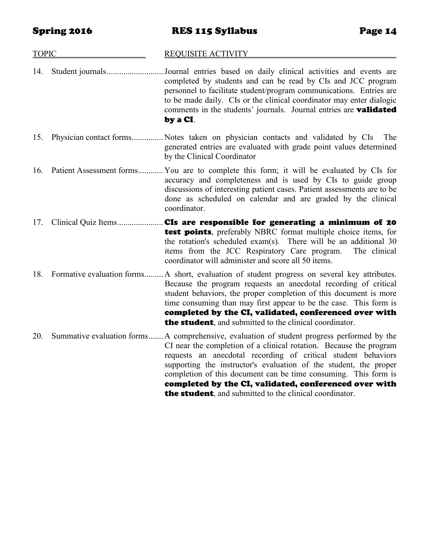## TOPIC REQUISITE ACTIVITY 14. Student journals...........................Journal entries based on daily clinical activities and events are completed by students and can be read by CIs and JCC program personnel to facilitate student/program communications. Entries are to be made daily. CIs or the clinical coordinator may enter dialogic comments in the students' journals. Journal entries are **validated** by a CI. 15. Physician contact forms............... Notes taken on physician contacts and validated by CIs The generated entries are evaluated with grade point values determined by the Clinical Coordinator 16. Patient Assessment forms............ You are to complete this form; it will be evaluated by CIs for accuracy and completeness and is used by CIs to guide group discussions of interesting patient cases. Patient assessments are to be done as scheduled on calendar and are graded by the clinical coordinator. 17. Clinical Quiz Items.............................CIs are responsible for generating a minimum of 20 test points, preferably NBRC format multiple choice items, for the rotation's scheduled exam(s). There will be an additional 30 items from the JCC Respiratory Care program. The clinical coordinator will administer and score all 50 items. 18. Formative evaluation forms......... A short, evaluation of student progress on several key attributes. Because the program requests an anecdotal recording of critical student behaviors, the proper completion of this document is more time consuming than may first appear to be the case. This form is completed by the CI, validated, conferenced over with the student, and submitted to the clinical coordinator. 20. Summative evaluation forms....... A comprehensive, evaluation of student progress performed by the CI near the completion of a clinical rotation. Because the program requests an anecdotal recording of critical student behaviors supporting the instructor's evaluation of the student, the proper completion of this document can be time consuming. This form is completed by the CI, validated, conferenced over with **the student**, and submitted to the clinical coordinator.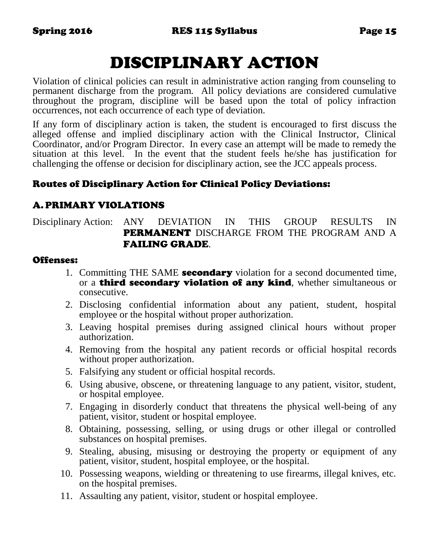# DISCIPLINARY ACTION

Violation of clinical policies can result in administrative action ranging from counseling to permanent discharge from the program. All policy deviations are considered cumulative throughout the program, discipline will be based upon the total of policy infraction occurrences, not each occurrence of each type of deviation.

If any form of disciplinary action is taken, the student is encouraged to first discuss the alleged offense and implied disciplinary action with the Clinical Instructor, Clinical Coordinator, and/or Program Director. In every case an attempt will be made to remedy the situation at this level. In the event that the student feels he/she has justification for challenging the offense or decision for disciplinary action, see the JCC appeals process.

# Routes of Disciplinary Action for Clinical Policy Deviations:

# A.PRIMARY VIOLATIONS

Disciplinary Action: ANY DEVIATION IN THIS GROUP RESULTS IN PERMANENT DISCHARGE FROM THE PROGRAM AND A FAILING GRADE.

## Offenses:

- 1. Committing THE SAME **secondary** violation for a second documented time, or a **third secondary violation of any kind**, whether simultaneous or consecutive.
- 2. Disclosing confidential information about any patient, student, hospital employee or the hospital without proper authorization.
- 3. Leaving hospital premises during assigned clinical hours without proper authorization.
- 4. Removing from the hospital any patient records or official hospital records without proper authorization.
- 5. Falsifying any student or official hospital records.
- 6. Using abusive, obscene, or threatening language to any patient, visitor, student, or hospital employee.
- 7. Engaging in disorderly conduct that threatens the physical well-being of any patient, visitor, student or hospital employee.
- 8. Obtaining, possessing, selling, or using drugs or other illegal or controlled substances on hospital premises.
- 9. Stealing, abusing, misusing or destroying the property or equipment of any patient, visitor, student, hospital employee, or the hospital.
- 10. Possessing weapons, wielding or threatening to use firearms, illegal knives, etc. on the hospital premises.
- 11. Assaulting any patient, visitor, student or hospital employee.